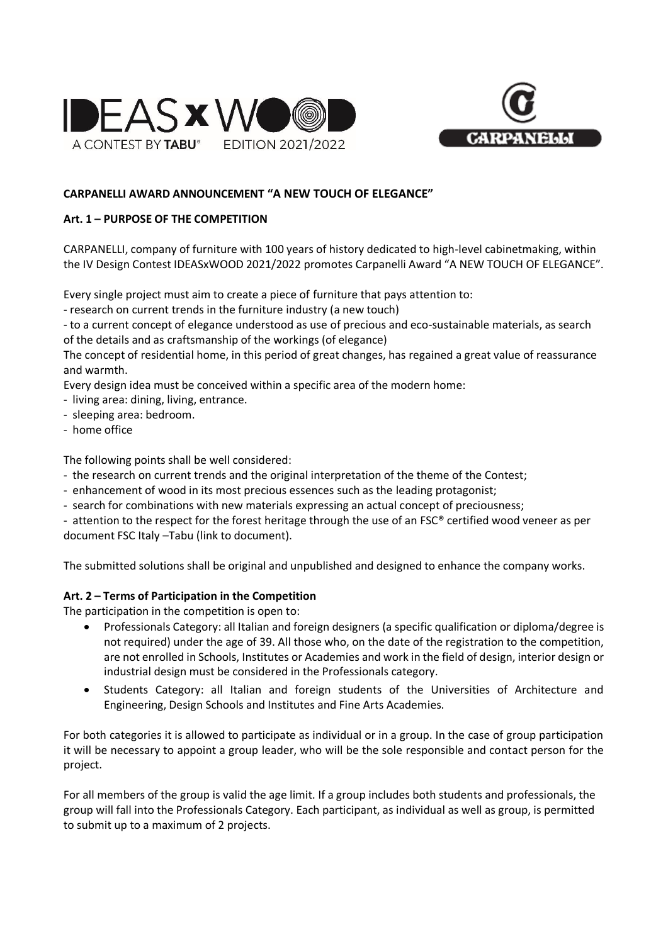



#### **CARPANELLI AWARD ANNOUNCEMENT "A NEW TOUCH OF ELEGANCE"**

#### **Art. 1 – PURPOSE OF THE COMPETITION**

CARPANELLI, company of furniture with 100 years of history dedicated to high-level cabinetmaking, within the IV Design Contest IDEASxWOOD 2021/2022 promotes Carpanelli Award "A NEW TOUCH OF ELEGANCE".

Every single project must aim to create a piece of furniture that pays attention to:

- research on current trends in the furniture industry (a new touch)

- to a current concept of elegance understood as use of precious and eco-sustainable materials, as search of the details and as craftsmanship of the workings (of elegance)

The concept of residential home, in this period of great changes, has regained a great value of reassurance and warmth.

Every design idea must be conceived within a specific area of the modern home:

- living area: dining, living, entrance.
- sleeping area: bedroom.
- home office

The following points shall be well considered:

- the research on current trends and the original interpretation of the theme of the Contest;
- enhancement of wood in its most precious essences such as the leading protagonist;
- search for combinations with new materials expressing an actual concept of preciousness;

- attention to the respect for the forest heritage through the use of an FSC® certified wood veneer as per document FSC Italy –Tabu (link to document).

The submitted solutions shall be original and unpublished and designed to enhance the company works.

#### **Art. 2 – Terms of Participation in the Competition**

The participation in the competition is open to:

- Professionals Category: all Italian and foreign designers (a specific qualification or diploma/degree is not required) under the age of 39. All those who, on the date of the registration to the competition, are not enrolled in Schools, Institutes or Academies and work in the field of design, interior design or industrial design must be considered in the Professionals category.
- Students Category: all Italian and foreign students of the Universities of Architecture and Engineering, Design Schools and Institutes and Fine Arts Academies.

For both categories it is allowed to participate as individual or in a group. In the case of group participation it will be necessary to appoint a group leader, who will be the sole responsible and contact person for the project.

For all members of the group is valid the age limit. If a group includes both students and professionals, the group will fall into the Professionals Category. Each participant, as individual as well as group, is permitted to submit up to a maximum of 2 projects.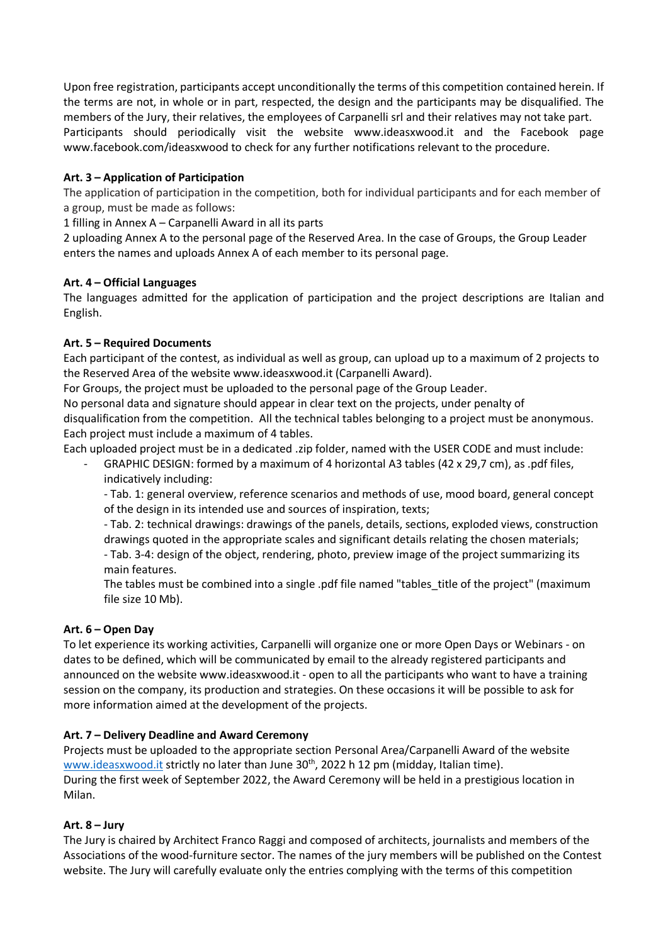Upon free registration, participants accept unconditionally the terms of this competition contained herein. If the terms are not, in whole or in part, respected, the design and the participants may be disqualified. The members of the Jury, their relatives, the employees of Carpanelli srl and their relatives may not take part. Participants should periodically visit the website www.ideasxwood.it and the Facebook page www.facebook.com/ideasxwood to check for any further notifications relevant to the procedure.

# **Art. 3 – Application of Participation**

The application of participation in the competition, both for individual participants and for each member of a group, must be made as follows:

1 filling in Annex A – Carpanelli Award in all its parts

2 uploading Annex A to the personal page of the Reserved Area. In the case of Groups, the Group Leader enters the names and uploads Annex A of each member to its personal page.

## **Art. 4 – Official Languages**

The languages admitted for the application of participation and the project descriptions are Italian and English.

#### **Art. 5 – Required Documents**

Each participant of the contest, as individual as well as group, can upload up to a maximum of 2 projects to the Reserved Area of the website [www.ideasxwood.it](http://www.ideasxwood.it/) (Carpanelli Award).

For Groups, the project must be uploaded to the personal page of the Group Leader.

No personal data and signature should appear in clear text on the projects, under penalty of disqualification from the competition. All the technical tables belonging to a project must be anonymous. Each project must include a maximum of 4 tables.

Each uploaded project must be in a dedicated .zip folder, named with the USER CODE and must include:

GRAPHIC DESIGN: formed by a maximum of 4 horizontal A3 tables (42 x 29,7 cm), as .pdf files, indicatively including:

- Tab. 1: general overview, reference scenarios and methods of use, mood board, general concept of the design in its intended use and sources of inspiration, texts;

- Tab. 2: technical drawings: drawings of the panels, details, sections, exploded views, construction drawings quoted in the appropriate scales and significant details relating the chosen materials; - Tab. 3-4: design of the object, rendering, photo, preview image of the project summarizing its

main features.

The tables must be combined into a single .pdf file named "tables\_title of the project" (maximum file size 10 Mb).

## **Art. 6 – Open Day**

To let experience its working activities, Carpanelli will organize one or more Open Days or Webinars - on dates to be defined, which will be communicated by email to the already registered participants and announced on the website www.ideasxwood.it - open to all the participants who want to have a training session on the company, its production and strategies. On these occasions it will be possible to ask for more information aimed at the development of the projects.

## **Art. 7 – Delivery Deadline and Award Ceremony**

Projects must be uploaded to the appropriate section Personal Area/Carpanelli Award of the website [www.ideasxwood.it](http://www.ideasxwood.it/) strictly no later than June 30<sup>th</sup>, 2022 h 12 pm (midday, Italian time). During the first week of September 2022, the Award Ceremony will be held in a prestigious location in Milan.

## **Art. 8 – Jury**

The Jury is chaired by Architect Franco Raggi and composed of architects, journalists and members of the Associations of the wood-furniture sector. The names of the jury members will be published on the Contest website. The Jury will carefully evaluate only the entries complying with the terms of this competition